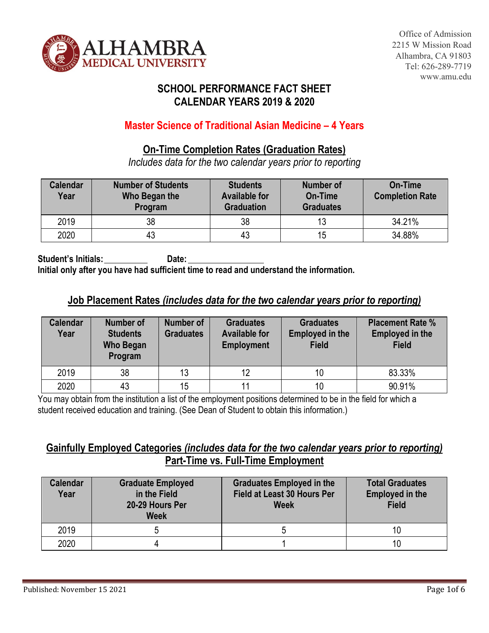

## **SCHOOL PERFORMANCE FACT SHEET CALENDAR YEARS 2019 & 2020**

### **Master Science of Traditional Asian Medicine – 4 Years**

#### **On-Time Completion Rates (Graduation Rates)**

*Includes data for the two calendar years prior to reporting*

| <b>Calendar</b><br>Year | <b>Number of Students</b><br>Who Began the<br>Program | <b>Students</b><br><b>Available for</b><br><b>Graduation</b> | <b>Number of</b><br>On-Time<br><b>Graduates</b> | On-Time<br><b>Completion Rate</b> |
|-------------------------|-------------------------------------------------------|--------------------------------------------------------------|-------------------------------------------------|-----------------------------------|
| 2019                    | 38                                                    | 38                                                           | 13                                              | 34.21%                            |
| 2020                    | 43                                                    | 43                                                           | 15                                              | 34.88%                            |

Student's Initials: Date: **Initial only after you have had sufficient time to read and understand the information.**

### **Job Placement Rates** *(includes data for the two calendar years prior to reporting)*

| <b>Calendar</b><br>Year | Number of<br><b>Students</b><br><b>Who Began</b><br>Program | Number of<br><b>Graduates</b> | <b>Graduates</b><br><b>Available for</b><br><b>Employment</b> | <b>Graduates</b><br><b>Employed in the</b><br><b>Field</b> | <b>Placement Rate %</b><br><b>Employed in the</b><br><b>Field</b> |
|-------------------------|-------------------------------------------------------------|-------------------------------|---------------------------------------------------------------|------------------------------------------------------------|-------------------------------------------------------------------|
| 2019                    | 38                                                          | 13                            | 12                                                            | 10                                                         | 83.33%                                                            |
| 2020                    | 43                                                          | 15                            | 11                                                            | 10                                                         | 90.91%                                                            |

You may obtain from the institution a list of the employment positions determined to be in the field for which a student received education and training. (See Dean of Student to obtain this information.)

### **Gainfully Employed Categories** *(includes data for the two calendar years prior to reporting)*  **Part-Time vs. Full-Time Employment**

| <b>Calendar</b><br>Year | <b>Graduate Employed</b><br>in the Field<br>20-29 Hours Per<br><b>Week</b> | <b>Graduates Employed in the</b><br>Field at Least 30 Hours Per<br><b>Week</b> | <b>Total Graduates</b><br><b>Employed in the</b><br><b>Field</b> |
|-------------------------|----------------------------------------------------------------------------|--------------------------------------------------------------------------------|------------------------------------------------------------------|
| 2019                    |                                                                            |                                                                                |                                                                  |
| 2020                    |                                                                            |                                                                                |                                                                  |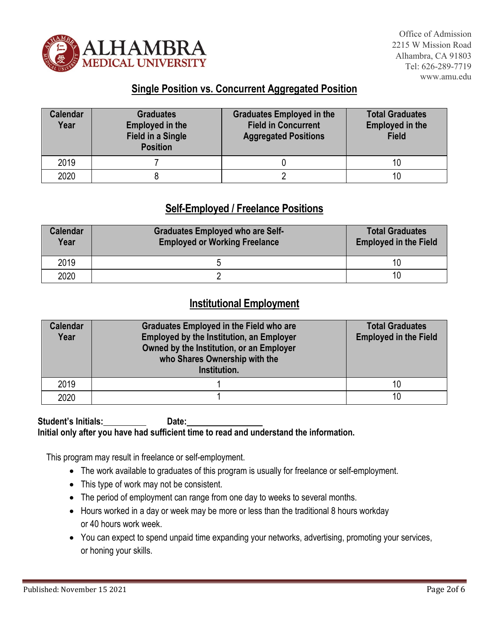

### **Single Position vs. Concurrent Aggregated Position**

| <b>Calendar</b><br>Year | <b>Graduates</b><br><b>Employed in the</b><br><b>Field in a Single</b><br><b>Position</b> | <b>Graduates Employed in the</b><br><b>Field in Concurrent</b><br><b>Aggregated Positions</b> | <b>Total Graduates</b><br><b>Employed in the</b><br><b>Field</b> |
|-------------------------|-------------------------------------------------------------------------------------------|-----------------------------------------------------------------------------------------------|------------------------------------------------------------------|
| 2019                    |                                                                                           |                                                                                               |                                                                  |
| 2020                    |                                                                                           |                                                                                               |                                                                  |

### **Self-Employed / Freelance Positions**

| <b>Calendar</b><br>Year | <b>Graduates Employed who are Self-</b><br><b>Employed or Working Freelance</b> | <b>Total Graduates</b><br><b>Employed in the Field</b> |
|-------------------------|---------------------------------------------------------------------------------|--------------------------------------------------------|
| 2019                    |                                                                                 | 10                                                     |
| 2020                    |                                                                                 | 10                                                     |

#### **Institutional Employment**

| <b>Calendar</b><br>Year | <b>Graduates Employed in the Field who are</b><br><b>Employed by the Institution, an Employer</b><br>Owned by the Institution, or an Employer<br>who Shares Ownership with the<br>Institution. | <b>Total Graduates</b><br><b>Employed in the Field</b> |
|-------------------------|------------------------------------------------------------------------------------------------------------------------------------------------------------------------------------------------|--------------------------------------------------------|
| 2019                    |                                                                                                                                                                                                | 10                                                     |
| 2020                    |                                                                                                                                                                                                | 10                                                     |

#### Student's Initials: Date: **Initial only after you have had sufficient time to read and understand the information.**

This program may result in freelance or self-employment.

- The work available to graduates of this program is usually for freelance or self-employment.
- This type of work may not be consistent.
- The period of employment can range from one day to weeks to several months.
- Hours worked in a day or week may be more or less than the traditional 8 hours workday or 40 hours work week.
- You can expect to spend unpaid time expanding your networks, advertising, promoting your services, or honing your skills.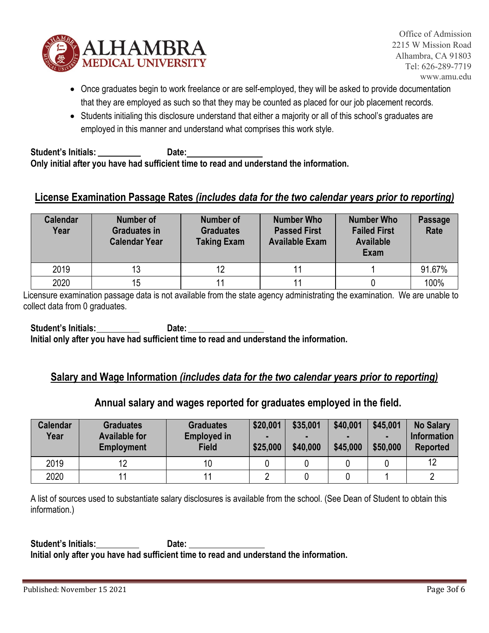

- Once graduates begin to work freelance or are self-employed, they will be asked to provide documentation that they are employed as such so that they may be counted as placed for our job placement records.
- Students initialing this disclosure understand that either a majority or all of this school's graduates are employed in this manner and understand what comprises this work style.

**Student's Initials: Date: Only initial after you have had sufficient time to read and understand the information.**

### **License Examination Passage Rates** *(includes data for the two calendar years prior to reporting)*

| <b>Calendar</b><br>Year | Number of<br><b>Graduates in</b><br><b>Calendar Year</b> | Number of<br><b>Graduates</b><br><b>Taking Exam</b> | <b>Number Who</b><br><b>Passed First</b><br><b>Available Exam</b> | Number Who<br><b>Failed First</b><br><b>Available</b><br><b>Exam</b> | <b>Passage</b><br>Rate |
|-------------------------|----------------------------------------------------------|-----------------------------------------------------|-------------------------------------------------------------------|----------------------------------------------------------------------|------------------------|
| 2019                    | 13                                                       | 12                                                  | 11                                                                |                                                                      | 91.67%                 |
| 2020                    | 15                                                       |                                                     |                                                                   |                                                                      | 100%                   |

Licensure examination passage data is not available from the state agency administrating the examination. We are unable to collect data from 0 graduates.

**Student's Initials: Date:**

**Initial only after you have had sufficient time to read and understand the information.**

#### **Salary and Wage Information** *(includes data for the two calendar years prior to reporting)*

#### **Annual salary and wages reported for graduates employed in the field.**

| <b>Calendar</b><br>Year | <b>Graduates</b><br><b>Available for</b><br><b>Employment</b> | <b>Graduates</b><br><b>Employed in</b><br><b>Field</b> | \$20,001<br>-<br>\$25,000 | \$35,001<br>-<br>\$40,000 | \$40,001<br>\$45,000 | \$45,001<br>\$50,000 | <b>No Salary</b><br><b>Information</b><br><b>Reported</b> |
|-------------------------|---------------------------------------------------------------|--------------------------------------------------------|---------------------------|---------------------------|----------------------|----------------------|-----------------------------------------------------------|
| 2019                    | 19                                                            |                                                        |                           |                           |                      |                      | 12                                                        |
| 2020                    |                                                               |                                                        |                           |                           |                      |                      |                                                           |

A list of sources used to substantiate salary disclosures is available from the school. (See Dean of Student to obtain this information.)

**Student's Initials: Date: Initial only after you have had sufficient time to read and understand the information.**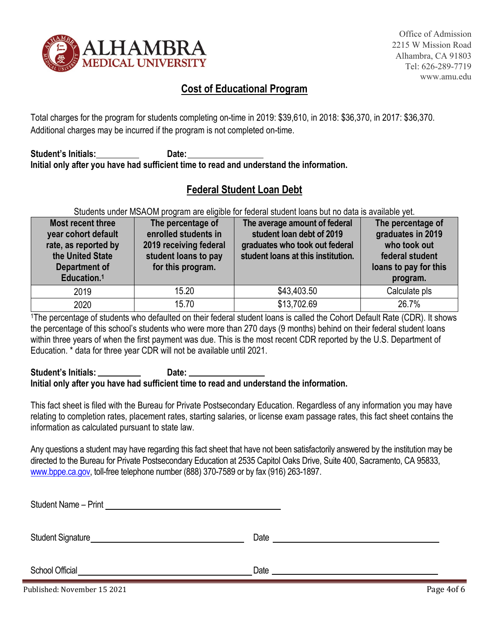

Office of Admission 2215 W Mission Road Alhambra, CA 91803 Tel: 626-289-7719 www.amu.edu

## **Cost of Educational Program**

Total charges for the program for students completing on-time in 2019: \$39,610, in 2018: \$36,370, in 2017: \$36,370. Additional charges may be incurred if the program is not completed on-time.

**Student's Initials: Date: Initial only after you have had sufficient time to read and understand the information.**

## **Federal Student Loan Debt**

#### Students under MSAOM program are eligible for federal student loans but no data is available yet.

| Most recent three<br>year cohort default<br>rate, as reported by<br>the United State<br>Department of<br>Education. <sup>1</sup> | The percentage of<br>enrolled students in<br>2019 receiving federal<br>student loans to pay<br>for this program. | The average amount of federal<br>student loan debt of 2019<br>graduates who took out federal<br>student loans at this institution. | The percentage of<br>graduates in 2019<br>who took out<br>federal student<br>loans to pay for this<br>program. |
|----------------------------------------------------------------------------------------------------------------------------------|------------------------------------------------------------------------------------------------------------------|------------------------------------------------------------------------------------------------------------------------------------|----------------------------------------------------------------------------------------------------------------|
| 2019                                                                                                                             | 15.20                                                                                                            | \$43,403.50                                                                                                                        | Calculate pls                                                                                                  |
| 2020                                                                                                                             | 15.70                                                                                                            | \$13,702.69                                                                                                                        | 26.7%                                                                                                          |

1The percentage of students who defaulted on their federal student loans is called the Cohort Default Rate (CDR). It shows the percentage of this school's students who were more than 270 days (9 months) behind on their federal student loans within three years of when the first payment was due. This is the most recent CDR reported by the U.S. Department of Education. \* data for three year CDR will not be available until 2021.

#### Student's Initials: Date: **Initial only after you have had sufficient time to read and understand the information.**

This fact sheet is filed with the Bureau for Private Postsecondary Education. Regardless of any information you may have relating to completion rates, placement rates, starting salaries, or license exam passage rates, this fact sheet contains the information as calculated pursuant to state law.

Any questions a student may have regarding this fact sheet that have not been satisfactorily answered by the institution may be directed to the Bureau for Private Postsecondary Education at 2535 Capitol Oaks Drive, Suite 400, Sacramento, CA 95833, [www.bppe.ca.gov,](http://www.bppe.ca.gov/) toll-free telephone number (888) 370-7589 or by fax (916) 263-1897.

| Student Name - Print<br><u> 1980 - Jan Sterling Sterling, amerikansk politiker (d. 1980)</u> |      |
|----------------------------------------------------------------------------------------------|------|
| Student Signature <b>Student Signature</b>                                                   | Date |
| <b>School Official</b>                                                                       | Date |

Published: November 15 2021 **Page 4of 6**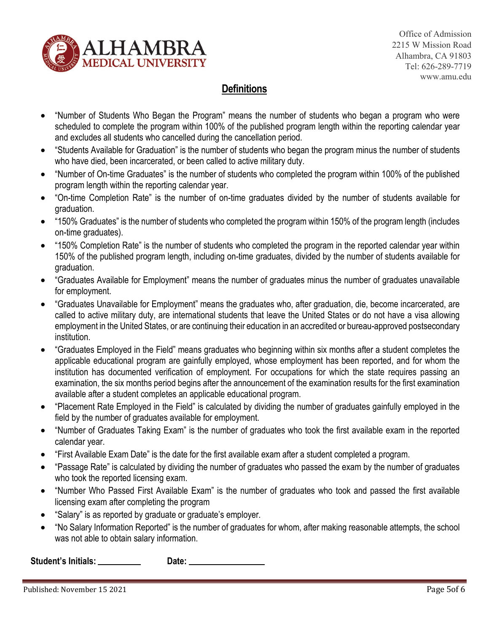

Office of Admission 2215 W Mission Road Alhambra, CA 91803 Tel: 626-289-7719 www.amu.edu

## **Definitions**

- "Number of Students Who Began the Program" means the number of students who began a program who were scheduled to complete the program within 100% of the published program length within the reporting calendar year and excludes all students who cancelled during the cancellation period.
- "Students Available for Graduation" is the number of students who began the program minus the number of students who have died, been incarcerated, or been called to active military duty.
- "Number of On-time Graduates" is the number of students who completed the program within 100% of the published program length within the reporting calendar year.
- "On-time Completion Rate" is the number of on-time graduates divided by the number of students available for graduation.
- "150% Graduates" is the number of students who completed the program within 150% of the program length (includes on-time graduates).
- "150% Completion Rate" is the number of students who completed the program in the reported calendar year within 150% of the published program length, including on-time graduates, divided by the number of students available for graduation.
- "Graduates Available for Employment" means the number of graduates minus the number of graduates unavailable for employment.
- "Graduates Unavailable for Employment" means the graduates who, after graduation, die, become incarcerated, are called to active military duty, are international students that leave the United States or do not have a visa allowing employment in the United States, or are continuing their education in an accredited or bureau-approved postsecondary institution.
- "Graduates Employed in the Field" means graduates who beginning within six months after a student completes the applicable educational program are gainfully employed, whose employment has been reported, and for whom the institution has documented verification of employment. For occupations for which the state requires passing an examination, the six months period begins after the announcement of the examination results for the first examination available after a student completes an applicable educational program.
- "Placement Rate Employed in the Field" is calculated by dividing the number of graduates gainfully employed in the field by the number of graduates available for employment.
- "Number of Graduates Taking Exam" is the number of graduates who took the first available exam in the reported calendar year.
- "First Available Exam Date" is the date for the first available exam after a student completed a program.
- "Passage Rate" is calculated by dividing the number of graduates who passed the exam by the number of graduates who took the reported licensing exam.
- "Number Who Passed First Available Exam" is the number of graduates who took and passed the first available licensing exam after completing the program
- "Salary" is as reported by graduate or graduate's employer.
- "No Salary Information Reported" is the number of graduates for whom, after making reasonable attempts, the school was not able to obtain salary information.

**Student's Initials: Date:**